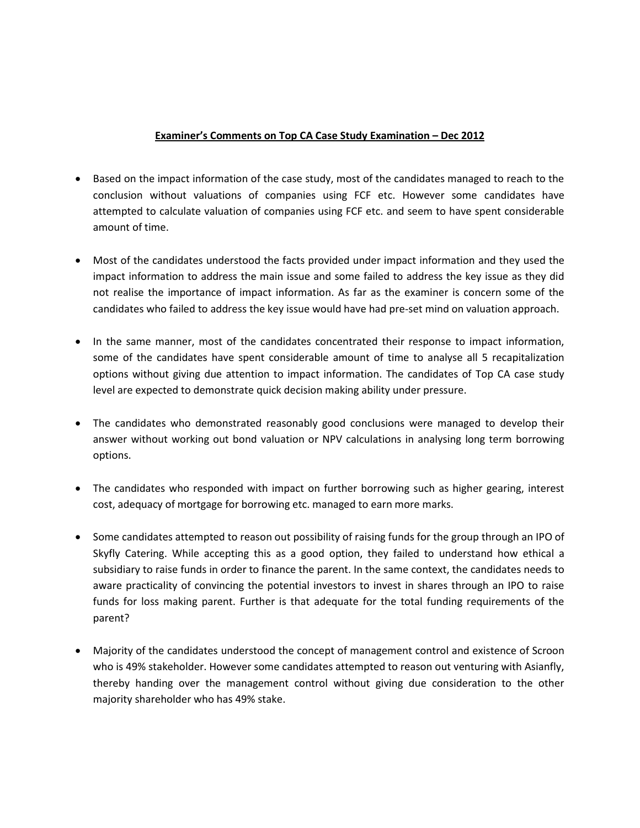## **Examiner's Comments on Top CA Case Study Examination – Dec 2012**

- Based on the impact information of the case study, most of the candidates managed to reach to the conclusion without valuations of companies using FCF etc. However some candidates have attempted to calculate valuation of companies using FCF etc. and seem to have spent considerable amount of time.
- Most of the candidates understood the facts provided under impact information and they used the impact information to address the main issue and some failed to address the key issue as they did not realise the importance of impact information. As far as the examiner is concern some of the candidates who failed to address the key issue would have had pre-set mind on valuation approach.
- In the same manner, most of the candidates concentrated their response to impact information, some of the candidates have spent considerable amount of time to analyse all 5 recapitalization options without giving due attention to impact information. The candidates of Top CA case study level are expected to demonstrate quick decision making ability under pressure.
- The candidates who demonstrated reasonably good conclusions were managed to develop their answer without working out bond valuation or NPV calculations in analysing long term borrowing options.
- The candidates who responded with impact on further borrowing such as higher gearing, interest cost, adequacy of mortgage for borrowing etc. managed to earn more marks.
- Some candidates attempted to reason out possibility of raising funds for the group through an IPO of Skyfly Catering. While accepting this as a good option, they failed to understand how ethical a subsidiary to raise funds in order to finance the parent. In the same context, the candidates needs to aware practicality of convincing the potential investors to invest in shares through an IPO to raise funds for loss making parent. Further is that adequate for the total funding requirements of the parent?
- Majority of the candidates understood the concept of management control and existence of Scroon who is 49% stakeholder. However some candidates attempted to reason out venturing with Asianfly, thereby handing over the management control without giving due consideration to the other majority shareholder who has 49% stake.